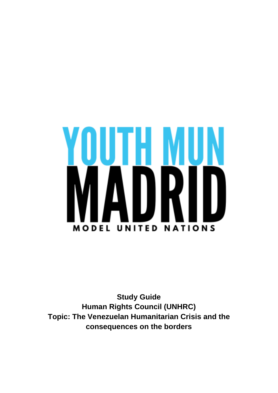# J I H I DRI N **MODEL UNITED NATIONS**

**Study Guide Human Rights Council (UNHRC) Topic: The Venezuelan Humanitarian Crisis and the consequences on the borders**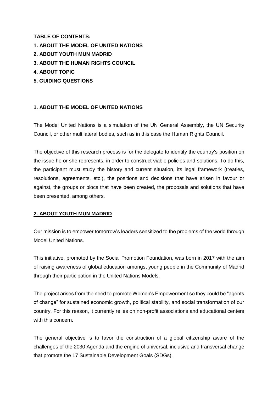**TABLE OF CONTENTS:** 

- **1. ABOUT THE MODEL OF UNITED NATIONS**
- **2. ABOUT YOUTH MUN MADRID**
- **3. ABOUT THE HUMAN RIGHTS COUNCIL**
- **4. ABOUT TOPIC**
- **5. GUIDING QUESTIONS**

### **1. ABOUT THE MODEL OF UNITED NATIONS**

The Model United Nations is a simulation of the UN General Assembly, the UN Security Council, or other multilateral bodies, such as in this case the Human Rights Council.

The objective of this research process is for the delegate to identify the country's position on the issue he or she represents, in order to construct viable policies and solutions. To do this, the participant must study the history and current situation, its legal framework (treaties, resolutions, agreements, etc.), the positions and decisions that have arisen in favour or against, the groups or blocs that have been created, the proposals and solutions that have been presented, among others.

#### **2. ABOUT YOUTH MUN MADRID**

Our mission is to empower tomorrow's leaders sensitized to the problems of the world through Model United Nations.

This initiative, promoted by the Social Promotion Foundation, was born in 2017 with the aim of raising awareness of global education amongst young people in the Community of Madrid through their participation in the United Nations Models.

The project arises from the need to promote Women's Empowerment so they could be "agents of change" for sustained economic growth, political stability, and social transformation of our country. For this reason, it currently relies on non-profit associations and educational centers with this concern.

The general objective is to favor the construction of a global citizenship aware of the challenges of the 2030 Agenda and the engine of universal, inclusive and transversal change that promote the 17 Sustainable Development Goals (SDGs).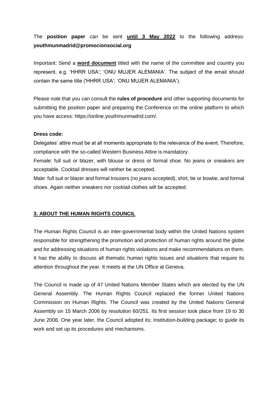# The **position paper** can be sent **until 3 May 2022** to the following address: **youthmunmadrid@promocionsocial.org**

Important: Send a **word document** titled with the name of the committee and country you represent, e.g. 'HHRR USA'; 'ONU MUJER ALEMANIA'. The subject of the email should contain the same title ('HHRR USA'; 'ONU MUJER ALEMANIA').

Please note that you can consult the **rules of procedure** and other supporting documents for submitting the position paper and preparing the Conference on the online platform to which you have access: https://online.youthmunmadrid.com/.

#### **Dress code:**

Delegates' attire must be at all moments appropriate to the relevance of the event. Therefore, compliance with the so-called Western Business Attire is mandatory.

Female: full suit or blazer, with blouse or dress or formal shoe. No jeans or sneakers are acceptable. Cocktail dresses will neither be accepted.

Male: full suit or blazer and formal trousers (no jeans accepted), shirt, tie or bowtie, and formal shoes. Again neither sneakers nor cocktail clothes will be accepted.

#### **3. ABOUT THE HUMAN RIGHTS COUNCIL**

The Human Rights Council is an inter-governmental body within the United Nations system responsible for strengthening the promotion and protection of human rights around the globe and for addressing situations of human rights violations and make recommendations on them. It has the ability to discuss all thematic human rights issues and situations that require its attention throughout the year. It meets at the UN Office at Geneva.

The Council is made up of 47 United Nations Member States which are elected by the UN General Assembly. The Human Rights Council replaced the former United Nations Commission on Human Rights. The Council was created by the United Nations General Assembly on 15 March 2006 by resolution 60/251. Its first session took place from 19 to 30 June 2006. One year later, the Council adopted its; Institution-building package; to guide its work and set up its procedures and mechanisms.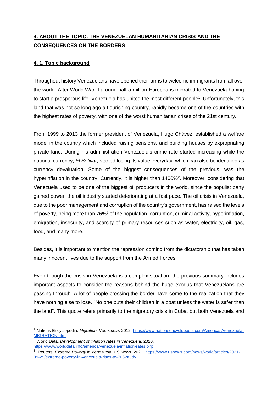# **4. ABOUT THE TOPIC: THE VENEZUELAN HUMANITARIAN CRISIS AND THE CONSEQUENCES ON THE BORDERS**

# **4. 1. Topic background**

Throughout history Venezuelans have opened their arms to welcome immigrants from all over the world. After World War II around half a million Europeans migrated to Venezuela hoping to start a prosperous life. Venezuela has united the most different people<sup>1</sup>. Unfortunately, this land that was not so long ago a flourishing country, rapidly became one of the countries with the highest rates of poverty, with one of the worst humanitarian crises of the 21st century.

From 1999 to 2013 the former president of Venezuela, Hugo Chávez, established a welfare model in the country which included raising pensions, and building houses by expropriating private land. During his administration Venezuela's crime rate started increasing while the national currency, *El Bolivar,* started losing its value everyday, which can also be identified as currency devaluation. Some of the biggest consequences of the previous, was the hyperinflation in the country. Currently, it is higher than 1400%<sup>2</sup>. Moreover, considering that Venezuela used to be one of the biggest oil producers in the world, since the populist party gained power, the oil industry started deteriorating at a fast pace. The oil crisis in Venezuela, due to the poor management and corruption of the country's government, has raised the levels of poverty, being more than 76%<sup>3</sup> of the population, corruption, criminal activity, hyperinflation, emigration, insecurity, and scarcity of primary resources such as water, electricity, oil, gas, food, and many more.

Besides, it is important to mention the repression coming from the dictatorship that has taken many innocent lives due to the support from the Armed Forces.

Even though the crisis in Venezuela is a complex situation, the previous summary includes important aspects to consider the reasons behind the huge exodus that Venezuelans are passing through. A lot of people crossing the border have come to the realization that they have nothing else to lose. "No one puts their children in a boat unless the water is safer than the land". This quote refers primarily to the migratory crisis in Cuba, but both Venezuela and

-

<sup>1</sup> Nations Encyclopedia. *Migration: Venezuela*. 2012. [https://www.nationsencyclopedia.com/Americas/Venezuela-](https://www.nationsencyclopedia.com/Americas/Venezuela-MIGRATION.html)[MIGRATION.html.](https://www.nationsencyclopedia.com/Americas/Venezuela-MIGRATION.html)

<sup>2</sup> World Data. *Development of inflation rates in Venezuela*. 2020. [https://www.worlddata.info/america/venezuela/inflation-rates.php.](https://www.worlddata.info/america/venezuela/inflation-rates.php)

<sup>&</sup>lt;sup>3</sup> Reuters. Extreme Poverty in Venezuela. US News. 2021. [https://www.usnews.com/news/world/articles/2021-](https://www.usnews.com/news/world/articles/2021-09-29/extreme-poverty-in-venezuela-rises-to-766-study) [09-29/extreme-poverty-in-venezuela-rises-to-766-study.](https://www.usnews.com/news/world/articles/2021-09-29/extreme-poverty-in-venezuela-rises-to-766-study)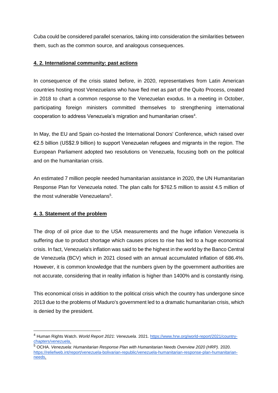Cuba could be considered parallel scenarios, taking into consideration the similarities between them, such as the common source, and analogous consequences.

# **4. 2. International community: past actions**

In consequence of the crisis stated before, in 2020, representatives from Latin American countries hosting most Venezuelans who have fled met as part of the Quito Process, created in 2018 to chart a common response to the Venezuelan exodus. In a meeting in October, participating foreign ministers committed themselves to strengthening international cooperation to address Venezuela's migration and humanitarian crises<sup>4</sup>.

In May, the EU and Spain co-hosted the International Donors' Conference, which raised over €2.5 billion (US\$2.9 billion) to support Venezuelan refugees and migrants in the region. The European Parliament adopted two resolutions on Venezuela, focusing both on the political and on the humanitarian crisis.

An estimated 7 million people needed humanitarian assistance in 2020, the UN Humanitarian Response Plan for Venezuela noted. The plan calls for \$762.5 million to assist 4.5 million of the most vulnerable Venezuelans<sup>5</sup>.

#### **4. 3. Statement of the problem**

-

The drop of oil price due to the USA measurements and the huge inflation Venezuela is suffering due to product shortage which causes prices to rise has led to a huge economical crisis. In fact, Venezuela's inflation was said to be the highest in the world by the Banco Central de Venezuela (BCV) which in 2021 closed with an annual accumulated inflation of 686.4%. However, it is common knowledge that the numbers given by the government authorities are not accurate, considering that in reality inflation is higher than 1400% and is constantly rising.

This economical crisis in addition to the political crisis which the country has undergone since 2013 due to the problems of Maduro's government led to a dramatic humanitarian crisis, which is denied by the president.

<sup>4</sup> Human Rights Watch. *World Report 2021: Venezuela*. 2021. [https://www.hrw.org/world-report/2021/country](https://www.hrw.org/world-report/2021/country-chapters/venezuela)[chapters/venezuela.](https://www.hrw.org/world-report/2021/country-chapters/venezuela)

<sup>5</sup> OCHA. *Venezuela: Humanitarian Response Plan with Humanitarian Needs Overview 2020 (HRP).* 2020. [https://reliefweb.int/report/venezuela-bolivarian-republic/venezuela-humanitarian-response-plan-humanitarian](https://reliefweb.int/report/venezuela-bolivarian-republic/venezuela-humanitarian-response-plan-humanitarian-needs)[needs.](https://reliefweb.int/report/venezuela-bolivarian-republic/venezuela-humanitarian-response-plan-humanitarian-needs)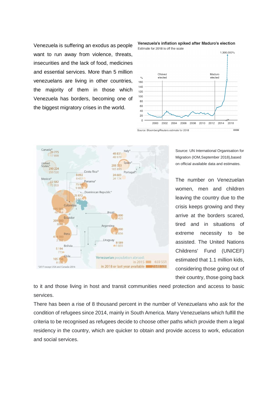Venezuela is suffering an exodus as people want to run away from violence, threats, insecurities and the lack of food, medicines and essential services. More than 5 million venezuelans are living in other countries, the majority of them in those which Venezuela has borders, becoming one of the biggest migratory crises in the world.







Source: UN International Organisation for Migration (IOM,September 2018),based on official available data and estimates.

The number on Venezuelan women, men and children leaving the country due to the crisis keeps growing and they arrive at the borders scared, tired and in situations of extreme necessity to be assisted. The United Nations Childrens' Fund (UNICEF) estimated that 1.1 million kids, considering those going out of their country, those going back

to it and those living in host and transit communities need protection and access to basic services.

There has been a rise of 8 thousand percent in the number of Venezuelans who ask for the condition of refugees since 2014, mainly in South America. Many Venezuelans which fulfill the criteria to be recognised as refugees decide to choose other paths which provide them a legal residency in the country, which are quicker to obtain and provide access to work, education and social services.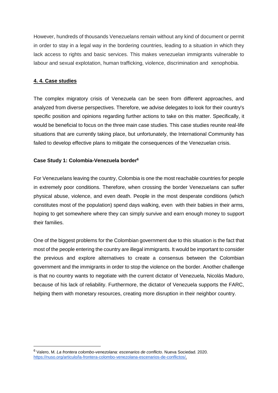However, hundreds of thousands Venezuelans remain without any kind of document or permit in order to stay in a legal way in the bordering countries, leading to a situation in which they lack access to rights and basic services. This makes venezuelan immigrants vulnerable to labour and sexual explotation, human trafficking, violence, discrimination and xenophobia.

# **4. 4. Case studies**

-

The complex migratory crisis of Venezuela can be seen from different approaches, and analyzed from diverse perspectives. Therefore, we advise delegates to look for their country's specific position and opinions regarding further actions to take on this matter. Specifically, it would be beneficial to focus on the three main case studies. This case studies reunite real-life situations that are currently taking place, but unfortunately, the International Community has failed to develop effective plans to mitigate the consequences of the Venezuelan crisis.

### **Case Study 1: Colombia-Venezuela border<sup>6</sup>**

For Venezuelans leaving the country, Colombia is one the most reachable countries for people in extremely poor conditions. Therefore, when crossing the border Venezuelans can suffer physical abuse, violence, and even death. People in the most desperate conditions (which constitutes most of the population) spend days walking, even with their babies in their arms, hoping to get somewhere where they can simply survive and earn enough money to support their families.

One of the biggest problems for the Colombian government due to this situation is the fact that most of the people entering the country are illegal immigrants. It would be important to consider the previous and explore alternatives to create a consensus between the Colombian government and the immigrants in order to stop the violence on the border. Another challenge is that no country wants to negotiate with the current dictator of Venezuela, Nicolás Maduro, because of his lack of reliability. Furthermore, the dictator of Venezuela supports the FARC, helping them with monetary resources, creating more disruption in their neighbor country.

<sup>6</sup> Valero, M. *La frontera colombo-venezolana: escenarios de conflicto*. Nueva Sociedad. 2020. [https://nuso.org/articulo/la-frontera-colombo-venezolana-escenarios-de-conflictos/.](https://nuso.org/articulo/la-frontera-colombo-venezolana-escenarios-de-conflictos/)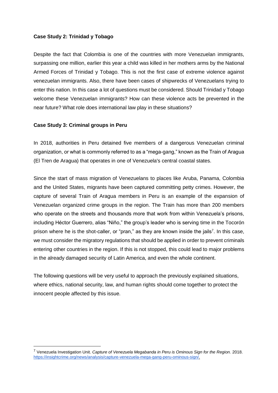#### **Case Study 2: Trinidad y Tobago**

Despite the fact that Colombia is one of the countries with more Venezuelan immigrants, surpassing one million, earlier this year a child was killed in her mothers arms by the National Armed Forces of Trinidad y Tobago. This is not the first case of extreme violence against venezuelan immigrants. Also, there have been cases of shipwrecks of Venezuelans trying to enter this nation. In this case a lot of questions must be considered. Should Trinidad y Tobago welcome these Venezuelan immigrants? How can these violence acts be prevented in the near future? What role does international law play in these situations?

#### **Case Study 3: Criminal groups in Peru**

-

In 2018, authorities in Peru detained five members of a dangerous Venezuelan criminal organization, or what is commonly referred to as a "mega-gang," known as the Train of Aragua (El Tren de Aragua) that operates in one of Venezuela's central coastal states.

Since the start of mass migration of Venezuelans to places like Aruba, Panama, Colombia and the United States, migrants have been captured committing petty crimes. However, the capture of several Train of Aragua members in Peru is an example of the expansion of Venezuelan organized crime groups in the region. The Train has more than 200 members who operate on the streets and thousands more that work from within Venezuela's prisons, including Héctor Guerrero, alias "Niño," the group's leader who is serving time in the Tocorón prison where he is the shot-caller, or "pran," as they are known inside the jails<sup>7</sup>. In this case, we must consider the migratory regulations that should be applied in order to prevent criminals entering other countries in the region. If this is not stopped, this could lead to major problems in the already damaged security of Latin America, and even the whole continent.

The following questions will be very useful to approach the previously explained situations, where ethics, national security, law, and human rights should come together to protect the innocent people affected by this issue.

<sup>7</sup> Venezuela Investigation Unit. *Capture of Venezuela Megabanda in Peru is Ominous Sign for the Region.* 2018. [https://insightcrime.org/news/analysis/capture-venezuela-mega-gang-peru-ominous-sign/.](https://insightcrime.org/news/analysis/capture-venezuela-mega-gang-peru-ominous-sign/)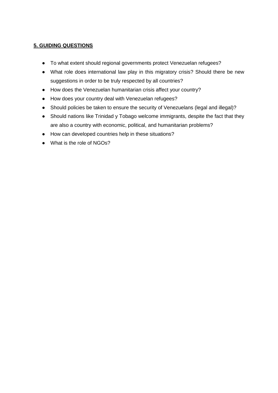# **5. GUIDING QUESTIONS**

- To what extent should regional governments protect Venezuelan refugees?
- What role does international law play in this migratory crisis? Should there be new suggestions in order to be truly respected by all countries?
- How does the Venezuelan humanitarian crisis affect your country?
- How does your country deal with Venezuelan refugees?
- Should policies be taken to ensure the security of Venezuelans (legal and illegal)?
- Should nations like Trinidad y Tobago welcome immigrants, despite the fact that they are also a country with economic, political, and humanitarian problems?
- How can developed countries help in these situations?
- What is the role of NGOs?